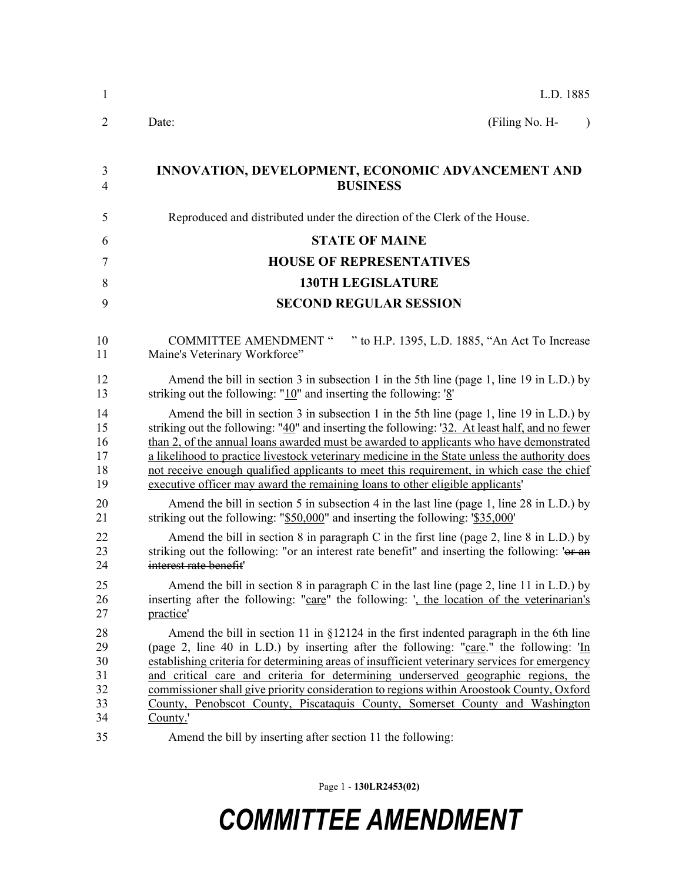| 1                                      | L.D. 1885                                                                                                                                                                                                                                                                                                                                                                                                                                                                                                                                                            |  |  |
|----------------------------------------|----------------------------------------------------------------------------------------------------------------------------------------------------------------------------------------------------------------------------------------------------------------------------------------------------------------------------------------------------------------------------------------------------------------------------------------------------------------------------------------------------------------------------------------------------------------------|--|--|
| 2                                      | (Filing No. H-<br>Date:<br>$\lambda$                                                                                                                                                                                                                                                                                                                                                                                                                                                                                                                                 |  |  |
| 3<br>4                                 | INNOVATION, DEVELOPMENT, ECONOMIC ADVANCEMENT AND<br><b>BUSINESS</b>                                                                                                                                                                                                                                                                                                                                                                                                                                                                                                 |  |  |
| 5                                      | Reproduced and distributed under the direction of the Clerk of the House.                                                                                                                                                                                                                                                                                                                                                                                                                                                                                            |  |  |
| 6                                      | <b>STATE OF MAINE</b>                                                                                                                                                                                                                                                                                                                                                                                                                                                                                                                                                |  |  |
| 7                                      | <b>HOUSE OF REPRESENTATIVES</b>                                                                                                                                                                                                                                                                                                                                                                                                                                                                                                                                      |  |  |
| 8                                      | <b>130TH LEGISLATURE</b>                                                                                                                                                                                                                                                                                                                                                                                                                                                                                                                                             |  |  |
| 9                                      | <b>SECOND REGULAR SESSION</b>                                                                                                                                                                                                                                                                                                                                                                                                                                                                                                                                        |  |  |
| 10<br>11                               | <b>COMMITTEE AMENDMENT "</b><br>" to H.P. 1395, L.D. 1885, "An Act To Increase<br>Maine's Veterinary Workforce"                                                                                                                                                                                                                                                                                                                                                                                                                                                      |  |  |
| 12<br>13                               | Amend the bill in section 3 in subsection 1 in the 5th line (page 1, line 19 in L.D.) by<br>striking out the following: " $10$ " and inserting the following: ' $8$ "                                                                                                                                                                                                                                                                                                                                                                                                |  |  |
| 14<br>15<br>16<br>17<br>18<br>19       | Amend the bill in section 3 in subsection 1 in the 5th line (page 1, line 19 in L.D.) by<br>striking out the following: "40" and inserting the following: '32. At least half, and no fewer<br>than 2, of the annual loans awarded must be awarded to applicants who have demonstrated<br>a likelihood to practice livestock veterinary medicine in the State unless the authority does<br>not receive enough qualified applicants to meet this requirement, in which case the chief<br>executive officer may award the remaining loans to other eligible applicants' |  |  |
| 20<br>21                               | Amend the bill in section 5 in subsection 4 in the last line (page 1, line 28 in L.D.) by<br>striking out the following: "\$50,000" and inserting the following: '\$35,000'                                                                                                                                                                                                                                                                                                                                                                                          |  |  |
| 22<br>23<br>24                         | Amend the bill in section 8 in paragraph C in the first line (page 2, line 8 in L.D.) by<br>striking out the following: "or an interest rate benefit" and inserting the following: 'or an<br>interest rate benefit'                                                                                                                                                                                                                                                                                                                                                  |  |  |
| 25<br>26<br>27                         | Amend the bill in section 8 in paragraph C in the last line (page 2, line 11 in L.D.) by<br>inserting after the following: "care" the following: ', the location of the veterinarian's<br>practice'                                                                                                                                                                                                                                                                                                                                                                  |  |  |
| 28<br>29<br>30<br>31<br>32<br>33<br>34 | Amend the bill in section 11 in $\S$ 12124 in the first indented paragraph in the 6th line<br>(page 2, line 40 in L.D.) by inserting after the following: "care." the following: 'In<br>establishing criteria for determining areas of insufficient veterinary services for emergency<br>and critical care and criteria for determining underserved geographic regions, the<br>commissioner shall give priority consideration to regions within Aroostook County, Oxford<br>County, Penobscot County, Piscataquis County, Somerset County and Washington<br>County.' |  |  |
| 35                                     | Amend the bill by inserting after section 11 the following:                                                                                                                                                                                                                                                                                                                                                                                                                                                                                                          |  |  |

Page 1 - **130LR2453(02)**

## *COMMITTEE AMENDMENT*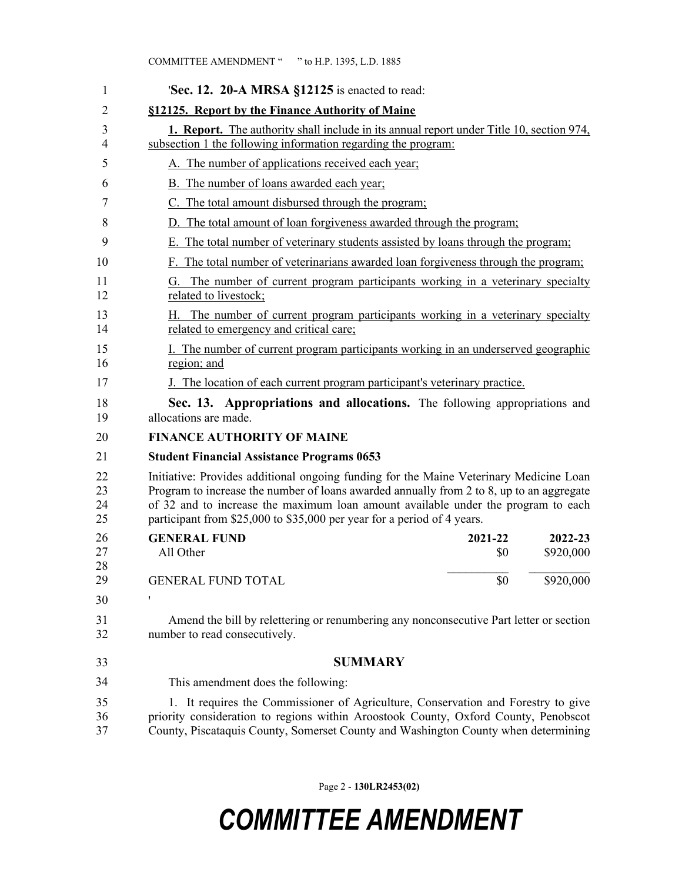| 1                    | <b>Sec. 12. 20-A MRSA <math>\S</math>12125</b> is enacted to read:                                                                                                                                                                                                                                                                                 |                      |  |
|----------------------|----------------------------------------------------------------------------------------------------------------------------------------------------------------------------------------------------------------------------------------------------------------------------------------------------------------------------------------------------|----------------------|--|
| 2                    | §12125. Report by the Finance Authority of Maine                                                                                                                                                                                                                                                                                                   |                      |  |
| 3<br>4               | <b>1. Report.</b> The authority shall include in its annual report under Title 10, section 974,<br>subsection 1 the following information regarding the program:                                                                                                                                                                                   |                      |  |
| 5                    | A. The number of applications received each year;                                                                                                                                                                                                                                                                                                  |                      |  |
| 6                    | B. The number of loans awarded each year;                                                                                                                                                                                                                                                                                                          |                      |  |
| 7                    | C. The total amount disbursed through the program;                                                                                                                                                                                                                                                                                                 |                      |  |
| 8                    | D. The total amount of loan forgiveness awarded through the program;                                                                                                                                                                                                                                                                               |                      |  |
| 9                    | E. The total number of veterinary students assisted by loans through the program;                                                                                                                                                                                                                                                                  |                      |  |
| 10                   | F. The total number of veterinarians awarded loan forgiveness through the program;                                                                                                                                                                                                                                                                 |                      |  |
| 11<br>12             | G. The number of current program participants working in a veterinary specialty<br>related to livestock;                                                                                                                                                                                                                                           |                      |  |
| 13<br>14             | H. The number of current program participants working in a veterinary specialty<br>related to emergency and critical care;                                                                                                                                                                                                                         |                      |  |
| 15<br>16             | I. The number of current program participants working in an underserved geographic<br>region; and                                                                                                                                                                                                                                                  |                      |  |
| 17                   | J. The location of each current program participant's veterinary practice.                                                                                                                                                                                                                                                                         |                      |  |
| 18<br>19             | Sec. 13. Appropriations and allocations. The following appropriations and<br>allocations are made.                                                                                                                                                                                                                                                 |                      |  |
| 20                   | <b>FINANCE AUTHORITY OF MAINE</b>                                                                                                                                                                                                                                                                                                                  |                      |  |
| 21                   | <b>Student Financial Assistance Programs 0653</b>                                                                                                                                                                                                                                                                                                  |                      |  |
| 22<br>23<br>24<br>25 | Initiative: Provides additional ongoing funding for the Maine Veterinary Medicine Loan<br>Program to increase the number of loans awarded annually from 2 to 8, up to an aggregate<br>of 32 and to increase the maximum loan amount available under the program to each<br>participant from \$25,000 to \$35,000 per year for a period of 4 years. |                      |  |
| 26<br>27<br>28       | <b>GENERAL FUND</b><br>2021-22<br>All Other<br>\$0                                                                                                                                                                                                                                                                                                 | 2022-23<br>\$920,000 |  |
| 29                   | \$0<br><b>GENERAL FUND TOTAL</b>                                                                                                                                                                                                                                                                                                                   | \$920,000            |  |
| 30                   | 1                                                                                                                                                                                                                                                                                                                                                  |                      |  |
| 31<br>32             | Amend the bill by relettering or renumbering any nonconsecutive Part letter or section<br>number to read consecutively.                                                                                                                                                                                                                            |                      |  |
| 33                   | <b>SUMMARY</b>                                                                                                                                                                                                                                                                                                                                     |                      |  |
| 34                   | This amendment does the following:                                                                                                                                                                                                                                                                                                                 |                      |  |
| 35<br>36<br>37       | 1. It requires the Commissioner of Agriculture, Conservation and Forestry to give<br>priority consideration to regions within Aroostook County, Oxford County, Penobscot<br>County, Piscataquis County, Somerset County and Washington County when determining                                                                                     |                      |  |

Page 2 - **130LR2453(02)**

## *COMMITTEE AMENDMENT*